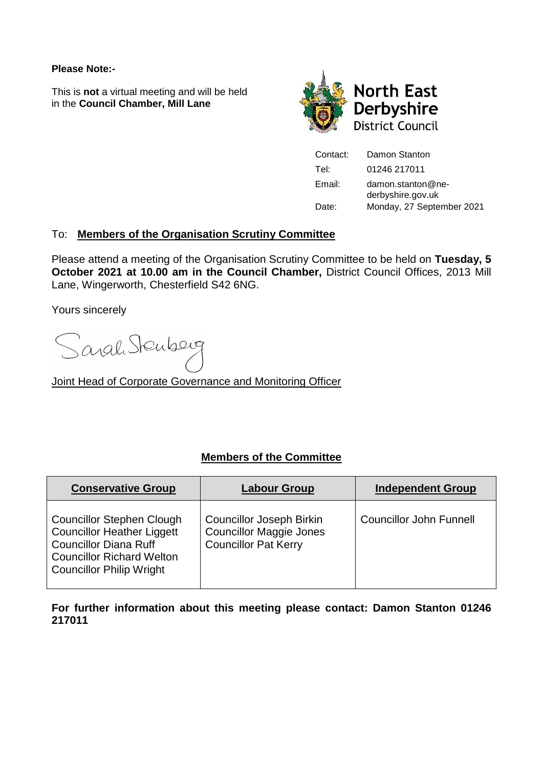#### **Please Note:-**

This is **not** a virtual meeting and will be held in the **Council Chamber, Mill Lane**



Contact: Damon Stanton Tel: 01246 217011 Email: damon.stanton@nederbyshire.gov.uk Date: Monday, 27 September 2021

# To: **Members of the Organisation Scrutiny Committee**

Please attend a meeting of the Organisation Scrutiny Committee to be held on **Tuesday, 5 October 2021 at 10.00 am in the Council Chamber,** District Council Offices, 2013 Mill Lane, Wingerworth, Chesterfield S42 6NG.

Yours sincerely

Sarah Stenberg

Joint Head of Corporate Governance and Monitoring Officer

# **Members of the Committee**

| <b>Conservative Group</b>                                                                                                                                                    | <b>Labour Group</b>                                                                              | <b>Independent Group</b>       |
|------------------------------------------------------------------------------------------------------------------------------------------------------------------------------|--------------------------------------------------------------------------------------------------|--------------------------------|
| <b>Councillor Stephen Clough</b><br><b>Councillor Heather Liggett</b><br><b>Councillor Diana Ruff</b><br><b>Councillor Richard Welton</b><br><b>Councillor Philip Wright</b> | <b>Councillor Joseph Birkin</b><br><b>Councillor Maggie Jones</b><br><b>Councillor Pat Kerry</b> | <b>Councillor John Funnell</b> |

**For further information about this meeting please contact: Damon Stanton 01246 217011**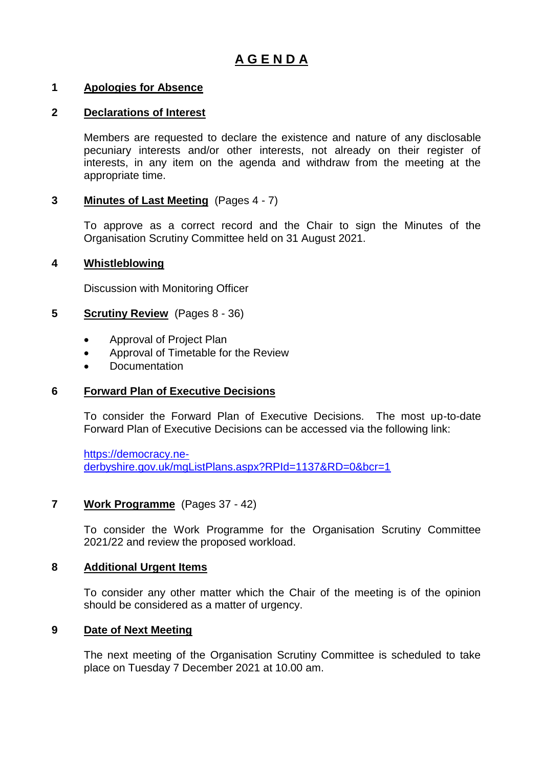# **A G E N D A**

### **1 Apologies for Absence**

#### **2 Declarations of Interest**

Members are requested to declare the existence and nature of any disclosable pecuniary interests and/or other interests, not already on their register of interests, in any item on the agenda and withdraw from the meeting at the appropriate time.

## **3 Minutes of Last Meeting** (Pages 4 - 7)

To approve as a correct record and the Chair to sign the Minutes of the Organisation Scrutiny Committee held on 31 August 2021.

#### **4 Whistleblowing**

Discussion with Monitoring Officer

#### **5 Scrutiny Review** (Pages 8 - 36)

- Approval of Project Plan
- Approval of Timetable for the Review
- Documentation

## **6 Forward Plan of Executive Decisions**

To consider the Forward Plan of Executive Decisions. The most up-to-date Forward Plan of Executive Decisions can be accessed via the following link:

[https://democracy.ne](https://democracy.ne-derbyshire.gov.uk/mgListPlans.aspx?RPId=1137&RD=0&bcr=1)[derbyshire.gov.uk/mgListPlans.aspx?RPId=1137&RD=0&bcr=1](https://democracy.ne-derbyshire.gov.uk/mgListPlans.aspx?RPId=1137&RD=0&bcr=1)

#### **7 Work Programme** (Pages 37 - 42)

To consider the Work Programme for the Organisation Scrutiny Committee 2021/22 and review the proposed workload.

#### **8 Additional Urgent Items**

To consider any other matter which the Chair of the meeting is of the opinion should be considered as a matter of urgency.

#### **9 Date of Next Meeting**

The next meeting of the Organisation Scrutiny Committee is scheduled to take place on Tuesday 7 December 2021 at 10.00 am.